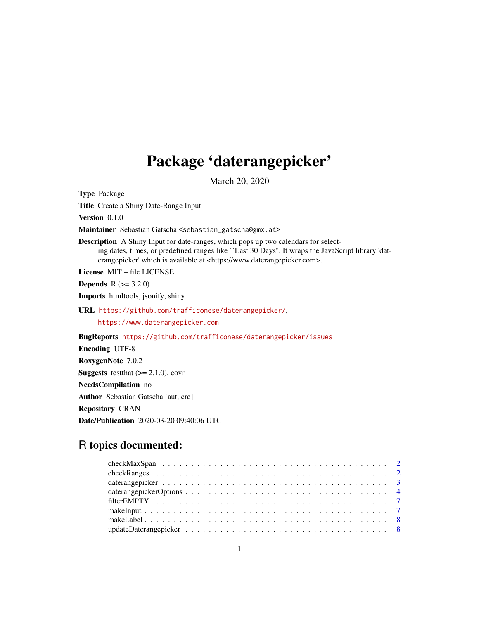## Package 'daterangepicker'

March 20, 2020

Type Package Title Create a Shiny Date-Range Input Version 0.1.0 Maintainer Sebastian Gatscha <sebastian\_gatscha@gmx.at> Description A Shiny Input for date-ranges, which pops up two calendars for selecting dates, times, or predefined ranges like ``Last 30 Days''. It wraps the JavaScript library 'daterangepicker' which is available at <https://www.daterangepicker.com>. License MIT + file LICENSE **Depends** R  $(>= 3.2.0)$ Imports htmltools, jsonify, shiny URL <https://github.com/trafficonese/daterangepicker/>, <https://www.daterangepicker.com> BugReports <https://github.com/trafficonese/daterangepicker/issues> Encoding UTF-8 RoxygenNote 7.0.2 **Suggests** test that  $(>= 2.1.0)$ , covr NeedsCompilation no Author Sebastian Gatscha [aut, cre] Repository CRAN Date/Publication 2020-03-20 09:40:06 UTC

## R topics documented: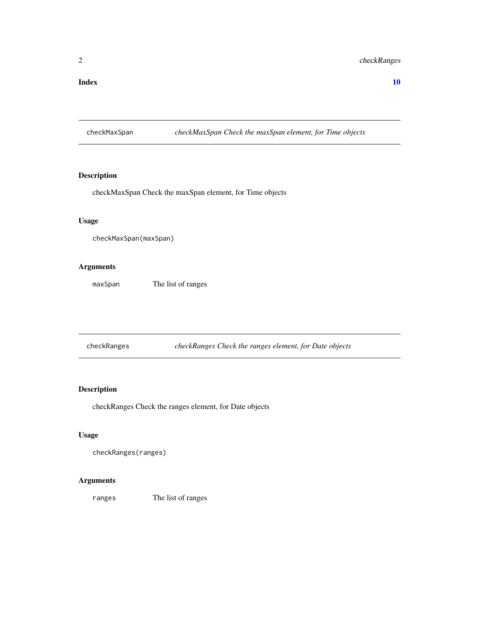#### <span id="page-1-0"></span> $\blacksquare$

checkMaxSpan *checkMaxSpan Check the maxSpan element, for Time objects*

#### Description

checkMaxSpan Check the maxSpan element, for Time objects

#### Usage

```
checkMaxSpan(maxSpan)
```
### Arguments

maxSpan The list of ranges

checkRanges *checkRanges Check the ranges element, for Date objects*

#### Description

checkRanges Check the ranges element, for Date objects

#### Usage

```
checkRanges(ranges)
```
#### Arguments

ranges The list of ranges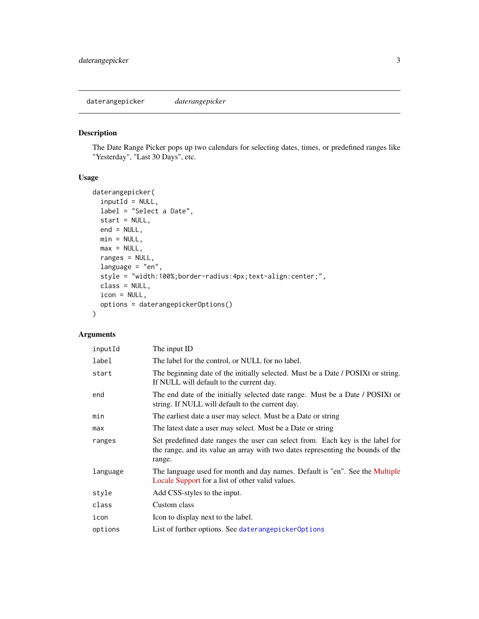<span id="page-2-1"></span><span id="page-2-0"></span>daterangepicker *daterangepicker*

#### Description

The Date Range Picker pops up two calendars for selecting dates, times, or predefined ranges like "Yesterday", "Last 30 Days", etc.

#### Usage

```
daterangepicker(
  inputId = NULL,label = "Select a Date",
 start = NULL,end = NULL,min = NULL,max = NULL,ranges = NULL,
 language = "en",
 style = "width:100%;border-radius:4px;text-align:center;",
 class = NULL,
 icon = NULL,
 options = daterangepickerOptions()
)
```

| inputId  | The input ID                                                                                                                                                                |
|----------|-----------------------------------------------------------------------------------------------------------------------------------------------------------------------------|
| label    | The label for the control, or NULL for no label.                                                                                                                            |
| start    | The beginning date of the initially selected. Must be a Date / POSIX tor string.<br>If NULL will default to the current day.                                                |
| end      | The end date of the initially selected date range. Must be a Date / POSIXt or<br>string. If NULL will default to the current day.                                           |
| min      | The earliest date a user may select. Must be a Date or string                                                                                                               |
| max      | The latest date a user may select. Must be a Date or string                                                                                                                 |
| ranges   | Set predefined date ranges the user can select from. Each key is the label for<br>the range, and its value an array with two dates representing the bounds of the<br>range. |
| language | The language used for month and day names. Default is "en". See the Multiple<br>Locale Support for a list of other valid values.                                            |
| style    | Add CSS-styles to the input.                                                                                                                                                |
| class    | Custom class                                                                                                                                                                |
| icon     | Icon to display next to the label.                                                                                                                                          |
| options  | List of further options. See daterangepicker0ptions                                                                                                                         |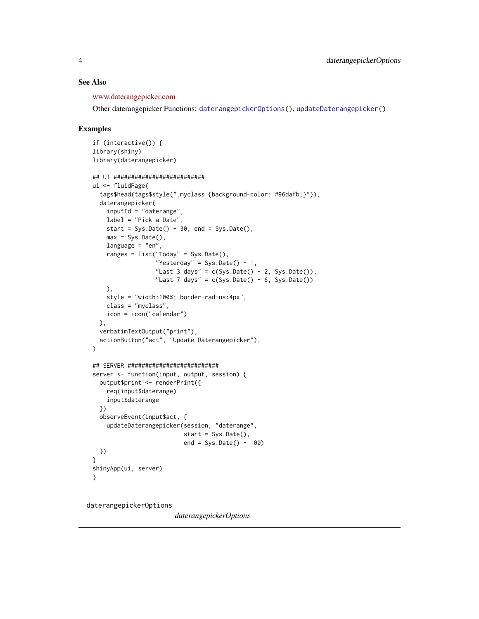#### <span id="page-3-0"></span>See Also

[www.daterangepicker.com](https://www.daterangepicker.com/#config)

Other daterangepicker Functions: [daterangepickerOptions\(](#page-3-1)), [updateDaterangepicker\(](#page-7-1))

#### Examples

```
if (interactive()) {
library(shiny)
library(daterangepicker)
## UI ##########################
ui <- fluidPage(
  tags$head(tags$style(".myclass {background-color: #96dafb;}")),
  daterangepicker(
    inputId = "daterange",
   label = "Pick a Date",
   start = Sys.Date() - 30, end = Sys.Date(),max = Sys.DataFrame(),
   language = "en",
    ranges = list("Today" = Sys.Date(),
                  "Yesterday" = Sys.Date() - 1,
                  "Last 3 days" = c(Sys.Date() - 2, Sys.Date()),
                  "Last 7 days" = c(Sys.Date() - 6, Sys.Date())),
    style = "width:100%; border-radius:4px",
    class = "myclass",
   icon = icon("calendar")
  ),
  verbatimTextOutput("print"),
  actionButton("act", "Update Daterangepicker"),
)
## SERVER ##########################
server <- function(input, output, session) {
  output$print <- renderPrint({
   req(input$daterange)
    input$daterange
  })
  observeEvent(input$act, {
    updateDaterangepicker(session, "daterange",
                          start = Sys.Date(),
                          end = Sys.Date() - 100)})
}
shinyApp(ui, server)
}
```
<span id="page-3-1"></span>daterangepickerOptions

*daterangepickerOptions*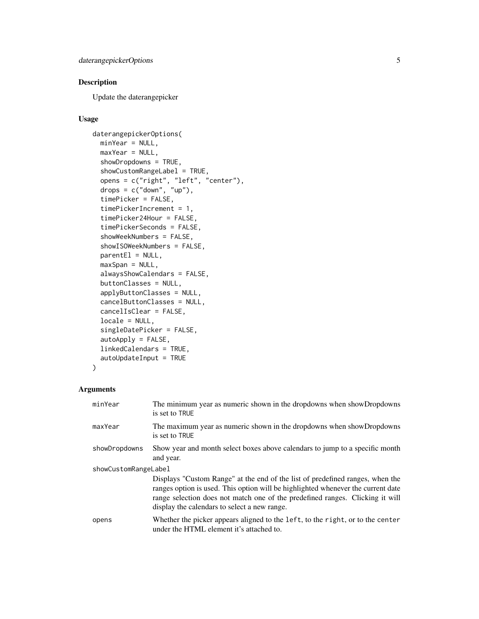### Description

Update the daterangepicker

#### Usage

```
daterangepickerOptions(
 minYear = NULL,
 maxYear = NULL,
  showDropdowns = TRUE,
  showCustomRangeLabel = TRUE,
 opens = c("right", "left", "center"),
  drops = c("down", "up"),timePicker = FALSE,
  timePickerIncrement = 1,
  timePicker24Hour = FALSE,
  timePickerSeconds = FALSE,
  showWeekNumbers = FALSE,
  showISOWeekNumbers = FALSE,
  parentE1 = NULL,maxSpan = NULL,alwaysShowCalendars = FALSE,
 buttonClasses = NULL,
  applyButtonClasses = NULL,
  cancelButtonClasses = NULL,
  cancelIsClear = FALSE,
  locale = NULL,
  singleDatePicker = FALSE,
  autoApply = FALSE,
  linkedCalendars = TRUE,
  autoUpdateInput = TRUE
)
```

| minYear              | The minimum year as numeric shown in the dropdowns when showDropdowns<br>is set to TRUE                                                                                                                                                                                                            |  |
|----------------------|----------------------------------------------------------------------------------------------------------------------------------------------------------------------------------------------------------------------------------------------------------------------------------------------------|--|
| maxYear              | The maximum year as numeric shown in the dropdowns when showDropdowns<br>is set to TRUE                                                                                                                                                                                                            |  |
| showDropdowns        | Show year and month select boxes above calendars to jump to a specific month<br>and year.                                                                                                                                                                                                          |  |
| showCustomRangeLabel |                                                                                                                                                                                                                                                                                                    |  |
|                      | Displays "Custom Range" at the end of the list of predefined ranges, when the<br>ranges option is used. This option will be highlighted whenever the current date<br>range selection does not match one of the predefined ranges. Clicking it will<br>display the calendars to select a new range. |  |
| opens                | Whether the picker appears aligned to the left, to the right, or to the center<br>under the HTML element it's attached to.                                                                                                                                                                         |  |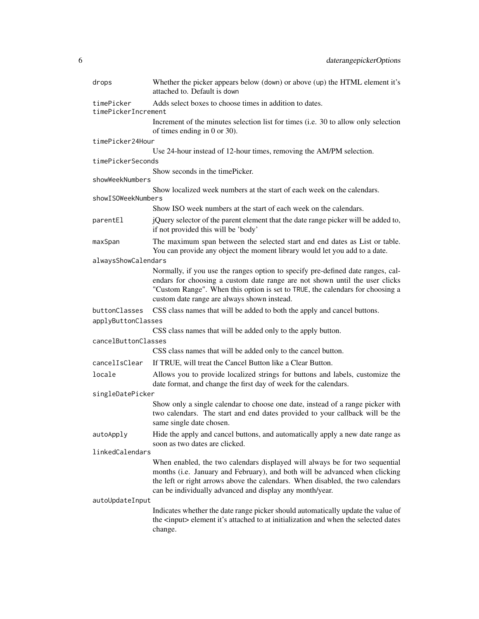| drops                                                                                        | Whether the picker appears below (down) or above (up) the HTML element it's<br>attached to. Default is down                                                                                                                                                                                              |  |
|----------------------------------------------------------------------------------------------|----------------------------------------------------------------------------------------------------------------------------------------------------------------------------------------------------------------------------------------------------------------------------------------------------------|--|
| Adds select boxes to choose times in addition to dates.<br>timePicker<br>timePickerIncrement |                                                                                                                                                                                                                                                                                                          |  |
|                                                                                              | Increment of the minutes selection list for times (i.e. 30 to allow only selection<br>of times ending in $0$ or $30$ ).                                                                                                                                                                                  |  |
| timePicker24Hour                                                                             |                                                                                                                                                                                                                                                                                                          |  |
|                                                                                              | Use 24-hour instead of 12-hour times, removing the AM/PM selection.                                                                                                                                                                                                                                      |  |
| timePickerSeconds                                                                            |                                                                                                                                                                                                                                                                                                          |  |
| showWeekNumbers                                                                              | Show seconds in the time Picker.                                                                                                                                                                                                                                                                         |  |
| showISOWeekNumbers                                                                           | Show localized week numbers at the start of each week on the calendars.                                                                                                                                                                                                                                  |  |
|                                                                                              | Show ISO week numbers at the start of each week on the calendars.                                                                                                                                                                                                                                        |  |
| parentEl                                                                                     | jQuery selector of the parent element that the date range picker will be added to,<br>if not provided this will be 'body'                                                                                                                                                                                |  |
| maxSpan                                                                                      | The maximum span between the selected start and end dates as List or table.<br>You can provide any object the moment library would let you add to a date.                                                                                                                                                |  |
| alwaysShowCalendars                                                                          |                                                                                                                                                                                                                                                                                                          |  |
|                                                                                              | Normally, if you use the ranges option to specify pre-defined date ranges, cal-<br>endars for choosing a custom date range are not shown until the user clicks<br>"Custom Range". When this option is set to TRUE, the calendars for choosing a<br>custom date range are always shown instead.           |  |
| buttonClasses                                                                                | CSS class names that will be added to both the apply and cancel buttons.                                                                                                                                                                                                                                 |  |
| applyButtonClasses                                                                           |                                                                                                                                                                                                                                                                                                          |  |
|                                                                                              | CSS class names that will be added only to the apply button.                                                                                                                                                                                                                                             |  |
| cancelButtonClasses                                                                          |                                                                                                                                                                                                                                                                                                          |  |
|                                                                                              | CSS class names that will be added only to the cancel button.                                                                                                                                                                                                                                            |  |
| cancelIsClear                                                                                | If TRUE, will treat the Cancel Button like a Clear Button.                                                                                                                                                                                                                                               |  |
| locale                                                                                       | Allows you to provide localized strings for buttons and labels, customize the<br>date format, and change the first day of week for the calendars.                                                                                                                                                        |  |
| singleDatePicker                                                                             |                                                                                                                                                                                                                                                                                                          |  |
|                                                                                              | Show only a single calendar to choose one date, instead of a range picker with<br>two calendars. The start and end dates provided to your callback will be the<br>same single date chosen.                                                                                                               |  |
| autoApply                                                                                    | Hide the apply and cancel buttons, and automatically apply a new date range as<br>soon as two dates are clicked.                                                                                                                                                                                         |  |
| linkedCalendars                                                                              |                                                                                                                                                                                                                                                                                                          |  |
|                                                                                              | When enabled, the two calendars displayed will always be for two sequential<br>months (i.e. January and February), and both will be advanced when clicking<br>the left or right arrows above the calendars. When disabled, the two calendars<br>can be individually advanced and display any month/year. |  |
| autoUpdateInput                                                                              |                                                                                                                                                                                                                                                                                                          |  |
|                                                                                              | Indicates whether the date range picker should automatically update the value of<br>the <input/> element it's attached to at initialization and when the selected dates                                                                                                                                  |  |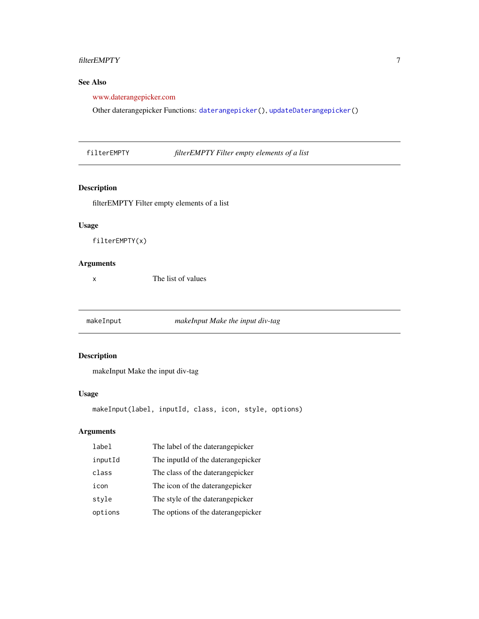#### <span id="page-6-0"></span>filterEMPTY 7

#### See Also

[www.daterangepicker.com](https://www.daterangepicker.com/#config)

Other daterangepicker Functions: [daterangepicker\(](#page-2-1)), [updateDaterangepicker\(](#page-7-1))

filterEMPTY *filterEMPTY Filter empty elements of a list*

#### Description

filterEMPTY Filter empty elements of a list

#### Usage

filterEMPTY(x)

#### Arguments

x The list of values

makeInput *makeInput Make the input div-tag*

#### Description

makeInput Make the input div-tag

#### Usage

```
makeInput(label, inputId, class, icon, style, options)
```

| label   | The label of the daterangepicker   |
|---------|------------------------------------|
| inputId | The inputid of the daterangepicker |
| class   | The class of the daterangepicker   |
| icon    | The icon of the daterangepicker    |
| style   | The style of the daterangepicker   |
| options | The options of the daterangepicker |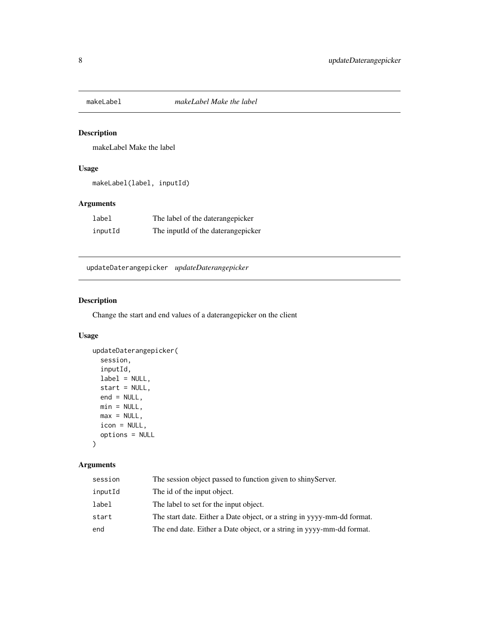<span id="page-7-0"></span>

#### Description

makeLabel Make the label

#### Usage

```
makeLabel(label, inputId)
```
#### Arguments

| label   | The label of the daterangepicker   |
|---------|------------------------------------|
| inputId | The inputId of the daterangepicker |

<span id="page-7-1"></span>updateDaterangepicker *updateDaterangepicker*

#### Description

Change the start and end values of a daterangepicker on the client

#### Usage

```
updateDaterangepicker(
  session,
  inputId,
 label = NULL,start = NULL,
 end = NULL,min = NULL,
 max = NULL,icon = NULL,
 options = NULL
\mathcal{L}
```

| session | The session object passed to function given to shiny Server.            |
|---------|-------------------------------------------------------------------------|
| inputId | The id of the input object.                                             |
| label   | The label to set for the input object.                                  |
| start   | The start date. Either a Date object, or a string in yyyy-mm-dd format. |
| end     | The end date. Either a Date object, or a string in yyyy-mm-dd format.   |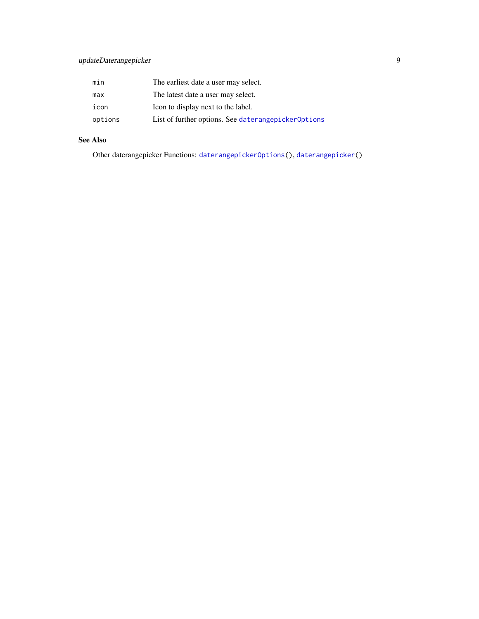<span id="page-8-0"></span>

| min     | The earliest date a user may select.                |
|---------|-----------------------------------------------------|
| max     | The latest date a user may select.                  |
| icon    | Icon to display next to the label.                  |
| options | List of further options. See daterangepicker0ptions |

#### See Also

Other daterangepicker Functions: [daterangepickerOptions\(](#page-3-1)), [daterangepicker\(](#page-2-1))